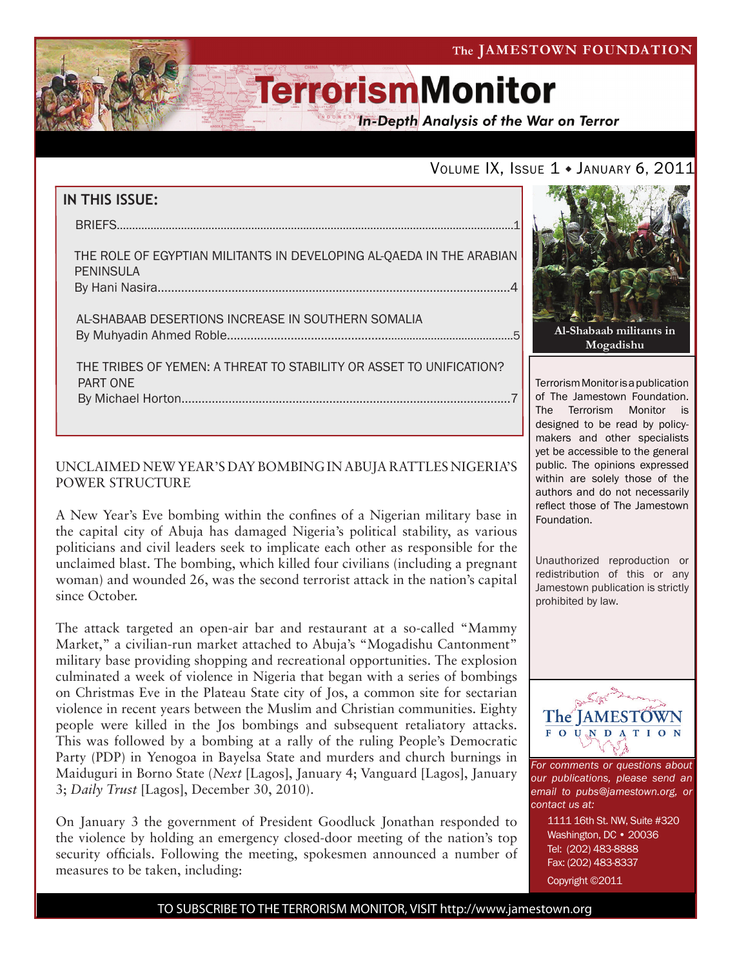

**In-Depth Analysis of the War on Terror** 

### VOLUME IX, ISSUE 1 . JANUARY 6, 2011

# **IN THIS ISSUE:** briefs..................................................................................................................................1 The role of egyptian militants in developing al-qaeda in the arabian peninsula By Hani Nasira.........................................................................................................4 al-shabaab desertions increase in southern somalia by Muhyadin Ahmed Roble.........................................................................................5 the tribes of yemen: a threat to stability or asset to unification? Part one By Michael Horton..................................................................................................7

#### UNCLAIMED NEW YEAR'S DAY BOMBING IN ABUJA RATTLES NIGERIA'S POWER STRUCTURE

A New Year's Eve bombing within the confines of a Nigerian military base in the capital city of Abuja has damaged Nigeria's political stability, as various politicians and civil leaders seek to implicate each other as responsible for the unclaimed blast. The bombing, which killed four civilians (including a pregnant woman) and wounded 26, was the second terrorist attack in the nation's capital since October.

The attack targeted an open-air bar and restaurant at a so-called "Mammy Market," a civilian-run market attached to Abuja's "Mogadishu Cantonment" military base providing shopping and recreational opportunities. The explosion culminated a week of violence in Nigeria that began with a series of bombings on Christmas Eve in the Plateau State city of Jos, a common site for sectarian violence in recent years between the Muslim and Christian communities. Eighty people were killed in the Jos bombings and subsequent retaliatory attacks. This was followed by a bombing at a rally of the ruling People's Democratic Party (PDP) in Yenogoa in Bayelsa State and murders and church burnings in Maiduguri in Borno State (*Next* [Lagos], January 4; Vanguard [Lagos], January 3; *Daily Trust* [Lagos], December 30, 2010).

On January 3 the government of President Goodluck Jonathan responded to the violence by holding an emergency closed-door meeting of the nation's top security officials. Following the meeting, spokesmen announced a number of measures to be taken, including:



Terrorism Monitor is a publication of The Jamestown Foundation. The Terrorism Monitor is designed to be read by policymakers and other specialists yet be accessible to the general public. The opinions expressed within are solely those of the authors and do not necessarily reflect those of The Jamestown Foundation.

Unauthorized reproduction or redistribution of this or any Jamestown publication is strictly prohibited by law.



*For comments or questions about our publications, please send an email to pubs@jamestown.org, or contact us at:* 

> 1111 16th St. NW, Suite #320 Washington, DC • 20036 Tel: (202) 483-8888 Fax: (202) 483-8337

Copyright ©2011

TO SUBSCRIBE TO THE TERRORISM MONITOR, VISIT http://www.jamestown.org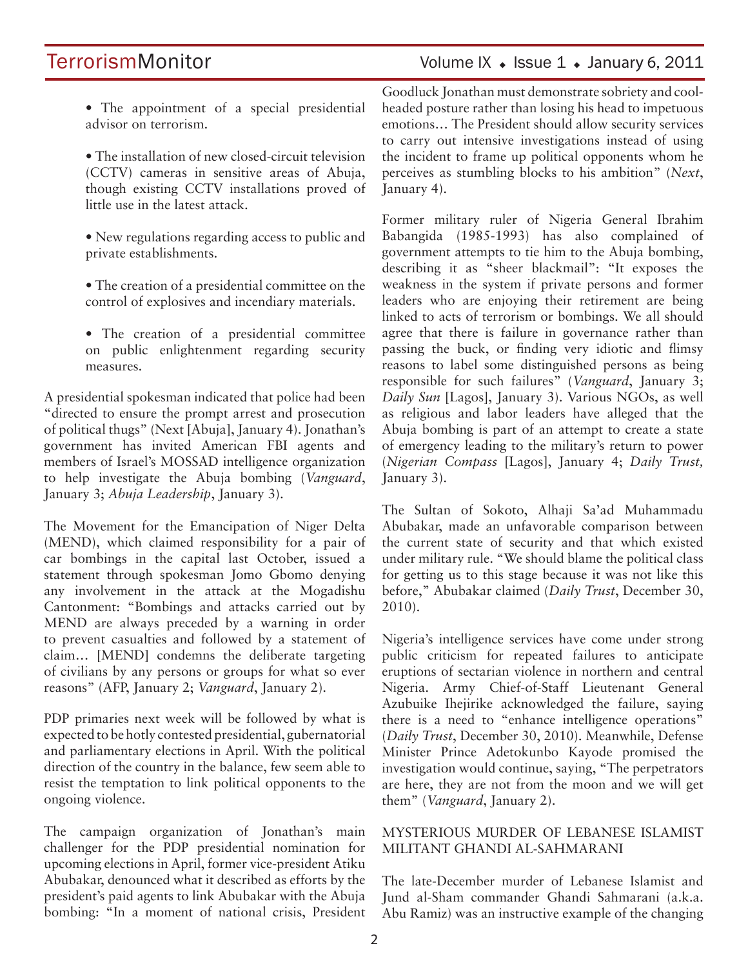# TerrorismMonitor Volume IX + Issue 1 + January 6, 2011

• The appointment of a special presidential advisor on terrorism.

• The installation of new closed-circuit television (CCTV) cameras in sensitive areas of Abuja, though existing CCTV installations proved of little use in the latest attack.

- New regulations regarding access to public and private establishments.
- The creation of a presidential committee on the control of explosives and incendiary materials.
- The creation of a presidential committee on public enlightenment regarding security measures.

A presidential spokesman indicated that police had been "directed to ensure the prompt arrest and prosecution of political thugs" (Next [Abuja], January 4). Jonathan's government has invited American FBI agents and members of Israel's MOSSAD intelligence organization to help investigate the Abuja bombing (*Vanguard*, January 3; *Abuja Leadership*, January 3).

The Movement for the Emancipation of Niger Delta (MEND), which claimed responsibility for a pair of car bombings in the capital last October, issued a statement through spokesman Jomo Gbomo denying any involvement in the attack at the Mogadishu Cantonment: "Bombings and attacks carried out by MEND are always preceded by a warning in order to prevent casualties and followed by a statement of claim… [MEND] condemns the deliberate targeting of civilians by any persons or groups for what so ever reasons" (AFP, January 2; *Vanguard*, January 2).

PDP primaries next week will be followed by what is expected to be hotly contested presidential, gubernatorial and parliamentary elections in April. With the political direction of the country in the balance, few seem able to resist the temptation to link political opponents to the ongoing violence.

The campaign organization of Jonathan's main challenger for the PDP presidential nomination for upcoming elections in April, former vice-president Atiku Abubakar, denounced what it described as efforts by the president's paid agents to link Abubakar with the Abuja bombing: "In a moment of national crisis, President

Goodluck Jonathan must demonstrate sobriety and coolheaded posture rather than losing his head to impetuous emotions… The President should allow security services to carry out intensive investigations instead of using the incident to frame up political opponents whom he perceives as stumbling blocks to his ambition" (*Next*, January 4).

Former military ruler of Nigeria General Ibrahim Babangida (1985-1993) has also complained of government attempts to tie him to the Abuja bombing, describing it as "sheer blackmail": "It exposes the weakness in the system if private persons and former leaders who are enjoying their retirement are being linked to acts of terrorism or bombings. We all should agree that there is failure in governance rather than passing the buck, or finding very idiotic and flimsy reasons to label some distinguished persons as being responsible for such failures" (*Vanguard*, January 3; *Daily Sun* [Lagos], January 3). Various NGOs, as well as religious and labor leaders have alleged that the Abuja bombing is part of an attempt to create a state of emergency leading to the military's return to power (*Nigerian Compass* [Lagos], January 4; *Daily Trust,*  January 3).

The Sultan of Sokoto, Alhaji Sa'ad Muhammadu Abubakar, made an unfavorable comparison between the current state of security and that which existed under military rule. "We should blame the political class for getting us to this stage because it was not like this before," Abubakar claimed (*Daily Trust*, December 30, 2010).

Nigeria's intelligence services have come under strong public criticism for repeated failures to anticipate eruptions of sectarian violence in northern and central Nigeria. Army Chief-of-Staff Lieutenant General Azubuike Ihejirike acknowledged the failure, saying there is a need to "enhance intelligence operations" (*Daily Trust*, December 30, 2010). Meanwhile, Defense Minister Prince Adetokunbo Kayode promised the investigation would continue, saying, "The perpetrators are here, they are not from the moon and we will get them" (*Vanguard*, January 2).

#### MYSTERIOUS MURDER OF LEBANESE ISLAMIST MILITANT GHANDI AL-SAHMARANI

The late-December murder of Lebanese Islamist and Jund al-Sham commander Ghandi Sahmarani (a.k.a. Abu Ramiz) was an instructive example of the changing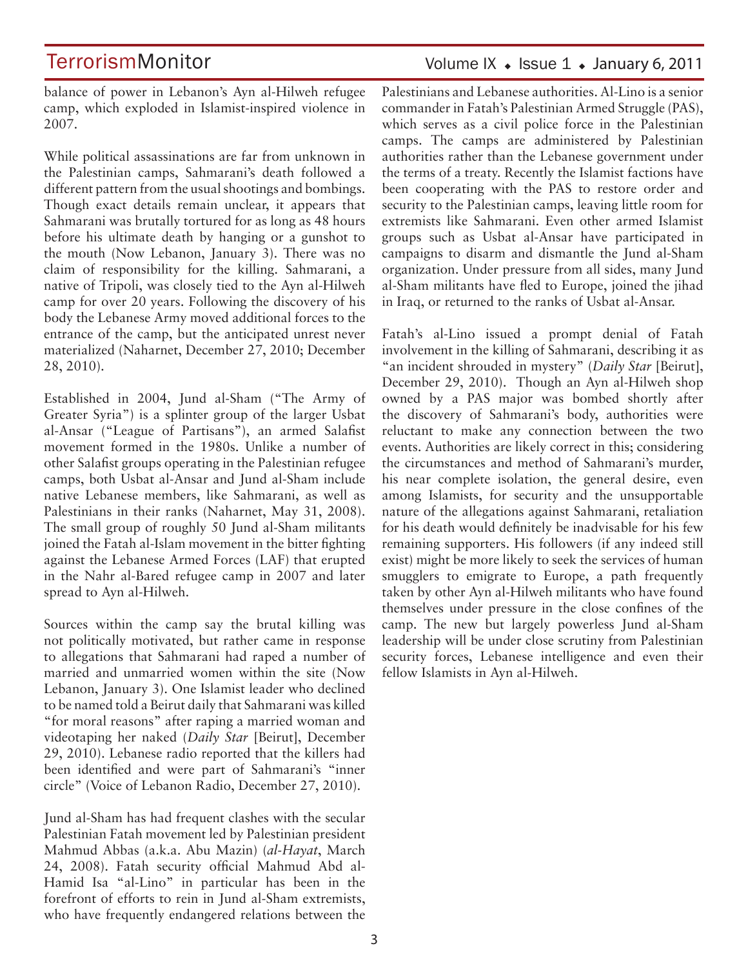balance of power in Lebanon's Ayn al-Hilweh refugee camp, which exploded in Islamist-inspired violence in 2007.

While political assassinations are far from unknown in the Palestinian camps, Sahmarani's death followed a different pattern from the usual shootings and bombings. Though exact details remain unclear, it appears that Sahmarani was brutally tortured for as long as 48 hours before his ultimate death by hanging or a gunshot to the mouth (Now Lebanon, January 3). There was no claim of responsibility for the killing. Sahmarani, a native of Tripoli, was closely tied to the Ayn al-Hilweh camp for over 20 years. Following the discovery of his body the Lebanese Army moved additional forces to the entrance of the camp, but the anticipated unrest never materialized (Naharnet, December 27, 2010; December 28, 2010).

Established in 2004, Jund al-Sham ("The Army of Greater Syria") is a splinter group of the larger Usbat al-Ansar ("League of Partisans"), an armed Salafist movement formed in the 1980s. Unlike a number of other Salafist groups operating in the Palestinian refugee camps, both Usbat al-Ansar and Jund al-Sham include native Lebanese members, like Sahmarani, as well as Palestinians in their ranks (Naharnet, May 31, 2008). The small group of roughly 50 Jund al-Sham militants joined the Fatah al-Islam movement in the bitter fighting against the Lebanese Armed Forces (LAF) that erupted in the Nahr al-Bared refugee camp in 2007 and later spread to Ayn al-Hilweh.

Sources within the camp say the brutal killing was not politically motivated, but rather came in response to allegations that Sahmarani had raped a number of married and unmarried women within the site (Now Lebanon, January 3). One Islamist leader who declined to be named told a Beirut daily that Sahmarani was killed "for moral reasons" after raping a married woman and videotaping her naked (*Daily Star* [Beirut], December 29, 2010). Lebanese radio reported that the killers had been identified and were part of Sahmarani's "inner circle" (Voice of Lebanon Radio, December 27, 2010).

Jund al-Sham has had frequent clashes with the secular Palestinian Fatah movement led by Palestinian president Mahmud Abbas (a.k.a. Abu Mazin) (*al-Hayat*, March 24, 2008). Fatah security official Mahmud Abd al-Hamid Isa "al-Lino" in particular has been in the forefront of efforts to rein in Jund al-Sham extremists, who have frequently endangered relations between the

### Volume IX  $\bullet$  Issue 1  $\bullet$  January 6, 2011

Palestinians and Lebanese authorities. Al-Lino is a senior commander in Fatah's Palestinian Armed Struggle (PAS), which serves as a civil police force in the Palestinian camps. The camps are administered by Palestinian authorities rather than the Lebanese government under the terms of a treaty. Recently the Islamist factions have been cooperating with the PAS to restore order and security to the Palestinian camps, leaving little room for extremists like Sahmarani. Even other armed Islamist groups such as Usbat al-Ansar have participated in campaigns to disarm and dismantle the Jund al-Sham organization. Under pressure from all sides, many Jund al-Sham militants have fled to Europe, joined the jihad in Iraq, or returned to the ranks of Usbat al-Ansar.

Fatah's al-Lino issued a prompt denial of Fatah involvement in the killing of Sahmarani, describing it as "an incident shrouded in mystery" (*Daily Star* [Beirut], December 29, 2010). Though an Ayn al-Hilweh shop owned by a PAS major was bombed shortly after the discovery of Sahmarani's body, authorities were reluctant to make any connection between the two events. Authorities are likely correct in this; considering the circumstances and method of Sahmarani's murder, his near complete isolation, the general desire, even among Islamists, for security and the unsupportable nature of the allegations against Sahmarani, retaliation for his death would definitely be inadvisable for his few remaining supporters. His followers (if any indeed still exist) might be more likely to seek the services of human smugglers to emigrate to Europe, a path frequently taken by other Ayn al-Hilweh militants who have found themselves under pressure in the close confines of the camp. The new but largely powerless Jund al-Sham leadership will be under close scrutiny from Palestinian security forces, Lebanese intelligence and even their fellow Islamists in Ayn al-Hilweh.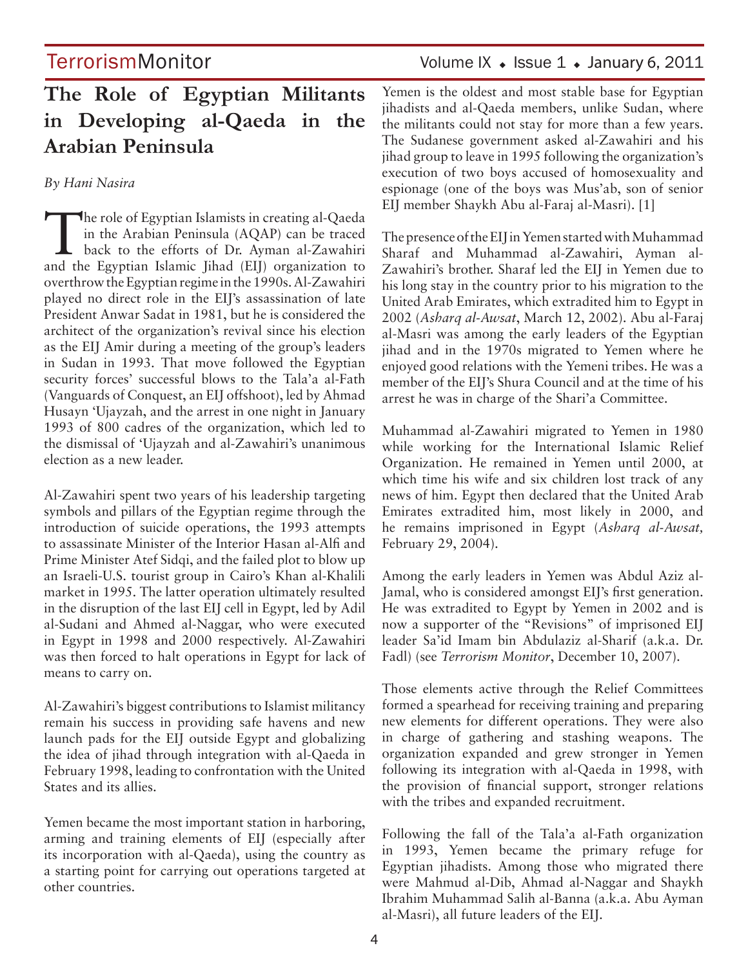# TerrorismMonitor Volume IX • Issue 1 • January 6, 2011

# **The Role of Egyptian Militants in Developing al-Qaeda in the Arabian Peninsula**

*By Hani Nasira* 

The role of Egyptian Islamists in creating al-Qaeda<br>
in the Arabian Peninsula (AQAP) can be traced<br>
back to the efforts of Dr. Ayman al-Zawahiri<br>
and the Egyptian Islamic Libed (EII) exemination to in the Arabian Peninsula (AQAP) can be traced and the Egyptian Islamic Jihad (EIJ) organization to overthrow the Egyptian regime in the 1990s. Al-Zawahiri played no direct role in the EIJ's assassination of late President Anwar Sadat in 1981, but he is considered the architect of the organization's revival since his election as the EIJ Amir during a meeting of the group's leaders in Sudan in 1993. That move followed the Egyptian security forces' successful blows to the Tala'a al-Fath (Vanguards of Conquest, an EIJ offshoot), led by Ahmad Husayn 'Ujayzah, and the arrest in one night in January 1993 of 800 cadres of the organization, which led to the dismissal of 'Ujayzah and al-Zawahiri's unanimous election as a new leader.

Al-Zawahiri spent two years of his leadership targeting symbols and pillars of the Egyptian regime through the introduction of suicide operations, the 1993 attempts to assassinate Minister of the Interior Hasan al-Alfi and Prime Minister Atef Sidqi, and the failed plot to blow up an Israeli-U.S. tourist group in Cairo's Khan al-Khalili market in 1995. The latter operation ultimately resulted in the disruption of the last EIJ cell in Egypt, led by Adil al-Sudani and Ahmed al-Naggar, who were executed in Egypt in 1998 and 2000 respectively. Al-Zawahiri was then forced to halt operations in Egypt for lack of means to carry on.

Al-Zawahiri's biggest contributions to Islamist militancy remain his success in providing safe havens and new launch pads for the EIJ outside Egypt and globalizing the idea of jihad through integration with al-Qaeda in February 1998, leading to confrontation with the United States and its allies.

Yemen became the most important station in harboring, arming and training elements of EIJ (especially after its incorporation with al-Qaeda), using the country as a starting point for carrying out operations targeted at other countries.

Yemen is the oldest and most stable base for Egyptian jihadists and al-Qaeda members, unlike Sudan, where the militants could not stay for more than a few years. The Sudanese government asked al-Zawahiri and his jihad group to leave in 1995 following the organization's execution of two boys accused of homosexuality and espionage (one of the boys was Mus'ab, son of senior EIJ member Shaykh Abu al-Faraj al-Masri). [1]

The presence of the EIJ in Yemen started with Muhammad Sharaf and Muhammad al-Zawahiri, Ayman al-Zawahiri's brother. Sharaf led the EIJ in Yemen due to his long stay in the country prior to his migration to the United Arab Emirates, which extradited him to Egypt in 2002 (*Asharq al-Awsat*, March 12, 2002). Abu al-Faraj al-Masri was among the early leaders of the Egyptian jihad and in the 1970s migrated to Yemen where he enjoyed good relations with the Yemeni tribes. He was a member of the EIJ's Shura Council and at the time of his arrest he was in charge of the Shari'a Committee.

Muhammad al-Zawahiri migrated to Yemen in 1980 while working for the International Islamic Relief Organization. He remained in Yemen until 2000, at which time his wife and six children lost track of any news of him. Egypt then declared that the United Arab Emirates extradited him, most likely in 2000, and he remains imprisoned in Egypt (*Asharq al-Awsat,*  February 29, 2004).

Among the early leaders in Yemen was Abdul Aziz al-Jamal, who is considered amongst EIJ's first generation. He was extradited to Egypt by Yemen in 2002 and is now a supporter of the "Revisions" of imprisoned EIJ leader Sa'id Imam bin Abdulaziz al-Sharif (a.k.a. Dr. Fadl) (see *Terrorism Monitor*, December 10, 2007).

Those elements active through the Relief Committees formed a spearhead for receiving training and preparing new elements for different operations. They were also in charge of gathering and stashing weapons. The organization expanded and grew stronger in Yemen following its integration with al-Qaeda in 1998, with the provision of financial support, stronger relations with the tribes and expanded recruitment.

Following the fall of the Tala'a al-Fath organization in 1993, Yemen became the primary refuge for Egyptian jihadists. Among those who migrated there were Mahmud al-Dib, Ahmad al-Naggar and Shaykh Ibrahim Muhammad Salih al-Banna (a.k.a. Abu Ayman al-Masri), all future leaders of the EIJ.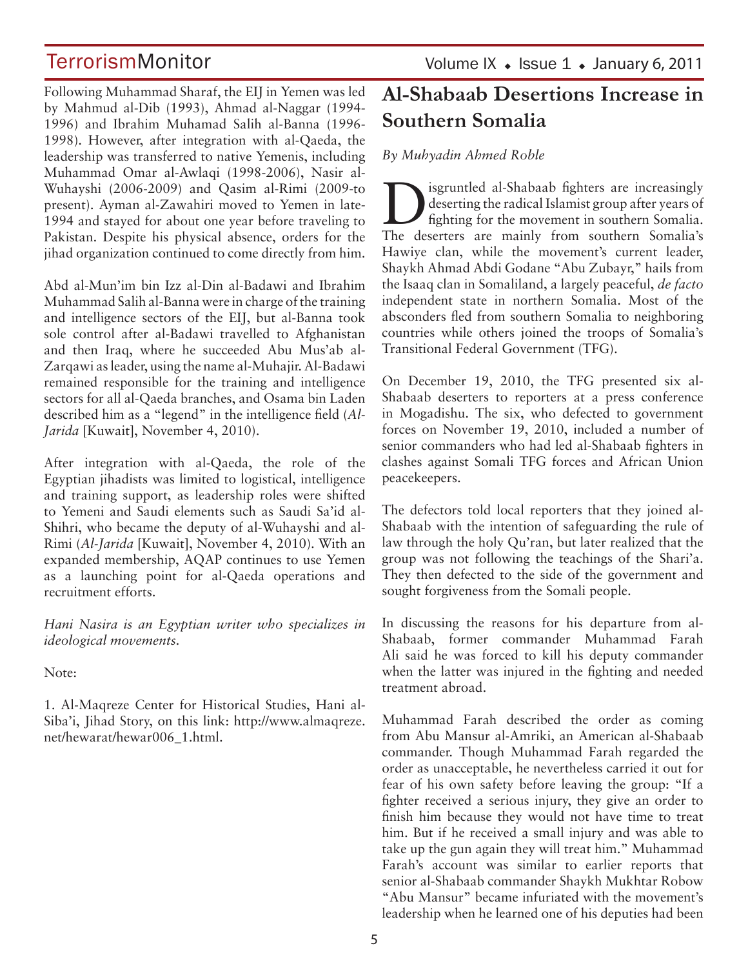Following Muhammad Sharaf, the EIJ in Yemen was led by Mahmud al-Dib (1993), Ahmad al-Naggar (1994- 1996) and Ibrahim Muhamad Salih al-Banna (1996- 1998). However, after integration with al-Qaeda, the leadership was transferred to native Yemenis, including Muhammad Omar al-Awlaqi (1998-2006), Nasir al-Wuhayshi (2006-2009) and Qasim al-Rimi (2009-to present). Ayman al-Zawahiri moved to Yemen in late-1994 and stayed for about one year before traveling to Pakistan. Despite his physical absence, orders for the jihad organization continued to come directly from him.

Abd al-Mun'im bin Izz al-Din al-Badawi and Ibrahim Muhammad Salih al-Banna were in charge of the training and intelligence sectors of the EIJ, but al-Banna took sole control after al-Badawi travelled to Afghanistan and then Iraq, where he succeeded Abu Mus'ab al-Zarqawi as leader, using the name al-Muhajir. Al-Badawi remained responsible for the training and intelligence sectors for all al-Qaeda branches, and Osama bin Laden described him as a "legend" in the intelligence field (*Al-Jarida* [Kuwait], November 4, 2010).

After integration with al-Qaeda, the role of the Egyptian jihadists was limited to logistical, intelligence and training support, as leadership roles were shifted to Yemeni and Saudi elements such as Saudi Sa'id al-Shihri, who became the deputy of al-Wuhayshi and al-Rimi (*Al-Jarida* [Kuwait], November 4, 2010). With an expanded membership, AQAP continues to use Yemen as a launching point for al-Qaeda operations and recruitment efforts.

*Hani Nasira is an Egyptian writer who specializes in ideological movements.*

Note:

1. Al-Maqreze Center for Historical Studies, Hani al-Siba'i, Jihad Story, on this link: http://www.almaqreze. net/hewarat/hewar006\_1.html.

### Volume IX  $\bullet$  Issue 1  $\bullet$  January 6, 2011

# **Al-Shabaab Desertions Increase in Southern Somalia**

*By Muhyadin Ahmed Roble*

**D** isgruntled al-Shabaab fighters are increasingly<br>deserting the radical Islamist group after years of<br>fighting for the movement in southern Somalia. deserting the radical Islamist group after years of fighting for the movement in southern Somalia. The deserters are mainly from southern Somalia's Hawiye clan, while the movement's current leader, Shaykh Ahmad Abdi Godane "Abu Zubayr," hails from the Isaaq clan in Somaliland, a largely peaceful, *de facto*  independent state in northern Somalia. Most of the absconders fled from southern Somalia to neighboring countries while others joined the troops of Somalia's Transitional Federal Government (TFG).

On December 19, 2010, the TFG presented six al-Shabaab deserters to reporters at a press conference in Mogadishu. The six, who defected to government forces on November 19, 2010, included a number of senior commanders who had led al-Shabaab fighters in clashes against Somali TFG forces and African Union peacekeepers.

The defectors told local reporters that they joined al-Shabaab with the intention of safeguarding the rule of law through the holy Qu'ran, but later realized that the group was not following the teachings of the Shari'a. They then defected to the side of the government and sought forgiveness from the Somali people.

In discussing the reasons for his departure from al-Shabaab, former commander Muhammad Farah Ali said he was forced to kill his deputy commander when the latter was injured in the fighting and needed treatment abroad.

Muhammad Farah described the order as coming from Abu Mansur al-Amriki, an American al-Shabaab commander. Though Muhammad Farah regarded the order as unacceptable, he nevertheless carried it out for fear of his own safety before leaving the group: "If a fighter received a serious injury, they give an order to finish him because they would not have time to treat him. But if he received a small injury and was able to take up the gun again they will treat him." Muhammad Farah's account was similar to earlier reports that senior al-Shabaab commander Shaykh Mukhtar Robow "Abu Mansur" became infuriated with the movement's leadership when he learned one of his deputies had been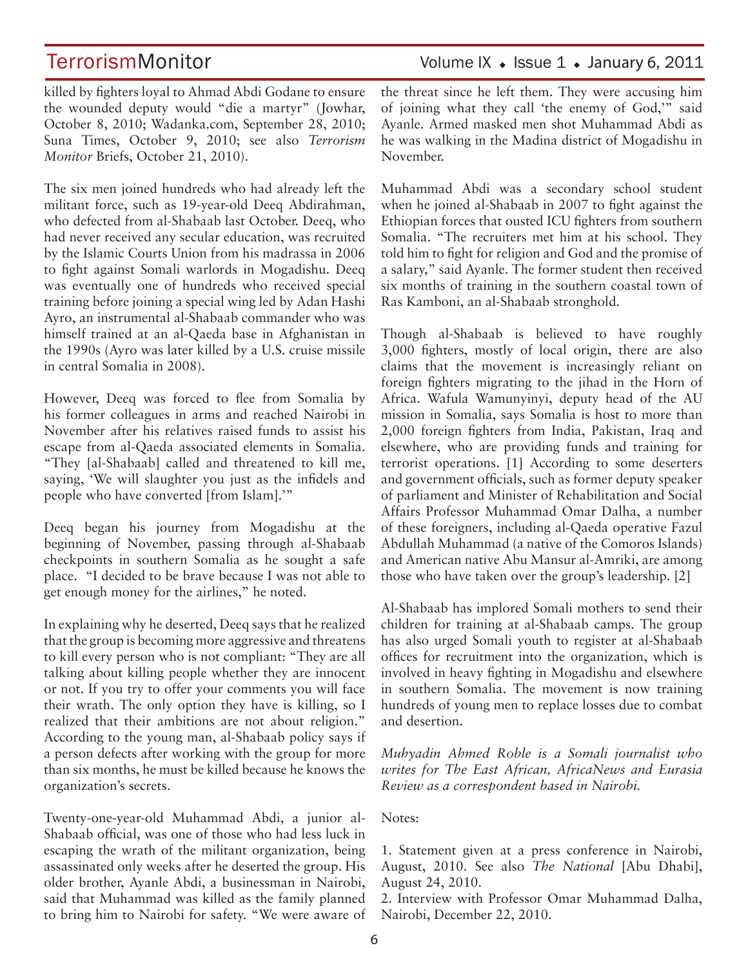TerrorismMonitor Volume IX • Issue 1 • January 6, 2011

killed by fighters loyal to Ahmad Abdi Godane to ensure the wounded deputy would "die a martyr" (Jowhar, October 8, 2010; Wadanka.com, September 28, 2010; Suna Times, October 9, 2010; see also *Terrorism Monitor* Briefs, October 21, 2010).

The six men joined hundreds who had already left the militant force, such as 19-year-old Deeq Abdirahman, who defected from al-Shabaab last October. Deeq, who had never received any secular education, was recruited by the Islamic Courts Union from his madrassa in 2006 to fight against Somali warlords in Mogadishu. Deeq was eventually one of hundreds who received special training before joining a special wing led by Adan Hashi Ayro, an instrumental al-Shabaab commander who was himself trained at an al-Qaeda base in Afghanistan in the 1990s (Ayro was later killed by a U.S. cruise missile in central Somalia in 2008).

However, Deeq was forced to flee from Somalia by his former colleagues in arms and reached Nairobi in November after his relatives raised funds to assist his escape from al-Qaeda associated elements in Somalia. "They [al-Shabaab] called and threatened to kill me, saying, 'We will slaughter you just as the infidels and people who have converted [from Islam].'"

Deeq began his journey from Mogadishu at the beginning of November, passing through al-Shabaab checkpoints in southern Somalia as he sought a safe place. "I decided to be brave because I was not able to get enough money for the airlines," he noted.

In explaining why he deserted, Deeq says that he realized that the group is becoming more aggressive and threatens to kill every person who is not compliant: "They are all talking about killing people whether they are innocent or not. If you try to offer your comments you will face their wrath. The only option they have is killing, so I realized that their ambitions are not about religion." According to the young man, al-Shabaab policy says if a person defects after working with the group for more than six months, he must be killed because he knows the organization's secrets.

Twenty-one-year-old Muhammad Abdi, a junior al-Shabaab official, was one of those who had less luck in escaping the wrath of the militant organization, being assassinated only weeks after he deserted the group. His older brother, Ayanle Abdi, a businessman in Nairobi, said that Muhammad was killed as the family planned to bring him to Nairobi for safety. "We were aware of the threat since he left them. They were accusing him of joining what they call 'the enemy of God,'" said Ayanle. Armed masked men shot Muhammad Abdi as he was walking in the Madina district of Mogadishu in November.

Muhammad Abdi was a secondary school student when he joined al-Shabaab in 2007 to fight against the Ethiopian forces that ousted ICU fighters from southern Somalia. "The recruiters met him at his school. They told him to fight for religion and God and the promise of a salary," said Ayanle. The former student then received six months of training in the southern coastal town of Ras Kamboni, an al-Shabaab stronghold.

Though al-Shabaab is believed to have roughly 3,000 fighters, mostly of local origin, there are also claims that the movement is increasingly reliant on foreign fighters migrating to the jihad in the Horn of Africa. Wafula Wamunyinyi, deputy head of the AU mission in Somalia, says Somalia is host to more than 2,000 foreign fighters from India, Pakistan, Iraq and elsewhere, who are providing funds and training for terrorist operations. [1] According to some deserters and government officials, such as former deputy speaker of parliament and Minister of Rehabilitation and Social Affairs Professor Muhammad Omar Dalha, a number of these foreigners, including al-Qaeda operative Fazul Abdullah Muhammad (a native of the Comoros Islands) and American native Abu Mansur al-Amriki, are among those who have taken over the group's leadership. [2]

Al-Shabaab has implored Somali mothers to send their children for training at al-Shabaab camps. The group has also urged Somali youth to register at al-Shabaab offices for recruitment into the organization, which is involved in heavy fighting in Mogadishu and elsewhere in southern Somalia. The movement is now training hundreds of young men to replace losses due to combat and desertion.

*Muhyadin Ahmed Roble is a Somali journalist who writes for The East African, AfricaNews and Eurasia Review as a correspondent based in Nairobi.*

Notes:

1. Statement given at a press conference in Nairobi, August, 2010. See also *The National* [Abu Dhabi], August 24, 2010.

2. Interview with Professor Omar Muhammad Dalha, Nairobi, December 22, 2010.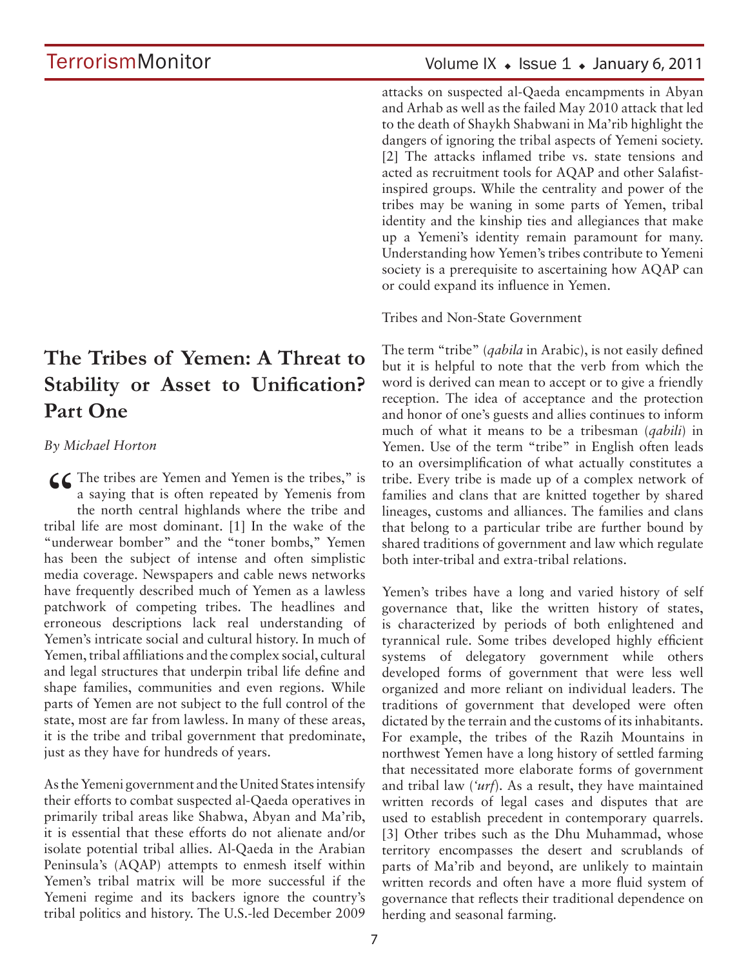# **The Tribes of Yemen: A Threat to Stability or Asset to Unification? Part One**

*By Michael Horton*

 $\mathcal{L}\mathcal{L}$  The tribes are Yemen and Yemen is the tribes," is a saying that is often repeated by Yemenis from the north central highlands where the tribe and tribal life are most dominant. [1] In the wake of the "underwear bomber" and the "toner bombs," Yemen has been the subject of intense and often simplistic media coverage. Newspapers and cable news networks have frequently described much of Yemen as a lawless patchwork of competing tribes. The headlines and erroneous descriptions lack real understanding of Yemen's intricate social and cultural history. In much of Yemen, tribal affiliations and the complex social, cultural and legal structures that underpin tribal life define and shape families, communities and even regions. While parts of Yemen are not subject to the full control of the state, most are far from lawless. In many of these areas, it is the tribe and tribal government that predominate, just as they have for hundreds of years.

As the Yemeni government and the United States intensify their efforts to combat suspected al-Qaeda operatives in primarily tribal areas like Shabwa, Abyan and Ma'rib, it is essential that these efforts do not alienate and/or isolate potential tribal allies. Al-Qaeda in the Arabian Peninsula's (AQAP) attempts to enmesh itself within Yemen's tribal matrix will be more successful if the Yemeni regime and its backers ignore the country's tribal politics and history. The U.S.-led December 2009

### Volume IX  $\bullet$  Issue 1  $\bullet$  January 6, 2011

attacks on suspected al-Qaeda encampments in Abyan and Arhab as well as the failed May 2010 attack that led to the death of Shaykh Shabwani in Ma'rib highlight the dangers of ignoring the tribal aspects of Yemeni society. [2] The attacks inflamed tribe vs. state tensions and acted as recruitment tools for AQAP and other Salafistinspired groups. While the centrality and power of the tribes may be waning in some parts of Yemen, tribal identity and the kinship ties and allegiances that make up a Yemeni's identity remain paramount for many. Understanding how Yemen's tribes contribute to Yemeni society is a prerequisite to ascertaining how AQAP can or could expand its influence in Yemen.

Tribes and Non-State Government

The term "tribe" (*qabila* in Arabic), is not easily defined but it is helpful to note that the verb from which the word is derived can mean to accept or to give a friendly reception. The idea of acceptance and the protection and honor of one's guests and allies continues to inform much of what it means to be a tribesman (*qabili*) in Yemen. Use of the term "tribe" in English often leads to an oversimplification of what actually constitutes a tribe. Every tribe is made up of a complex network of families and clans that are knitted together by shared lineages, customs and alliances. The families and clans that belong to a particular tribe are further bound by shared traditions of government and law which regulate both inter-tribal and extra-tribal relations.

Yemen's tribes have a long and varied history of self governance that, like the written history of states, is characterized by periods of both enlightened and tyrannical rule. Some tribes developed highly efficient systems of delegatory government while others developed forms of government that were less well organized and more reliant on individual leaders. The traditions of government that developed were often dictated by the terrain and the customs of its inhabitants. For example, the tribes of the Razih Mountains in northwest Yemen have a long history of settled farming that necessitated more elaborate forms of government and tribal law (*'urf*). As a result, they have maintained written records of legal cases and disputes that are used to establish precedent in contemporary quarrels. [3] Other tribes such as the Dhu Muhammad, whose territory encompasses the desert and scrublands of parts of Ma'rib and beyond, are unlikely to maintain written records and often have a more fluid system of governance that reflects their traditional dependence on herding and seasonal farming.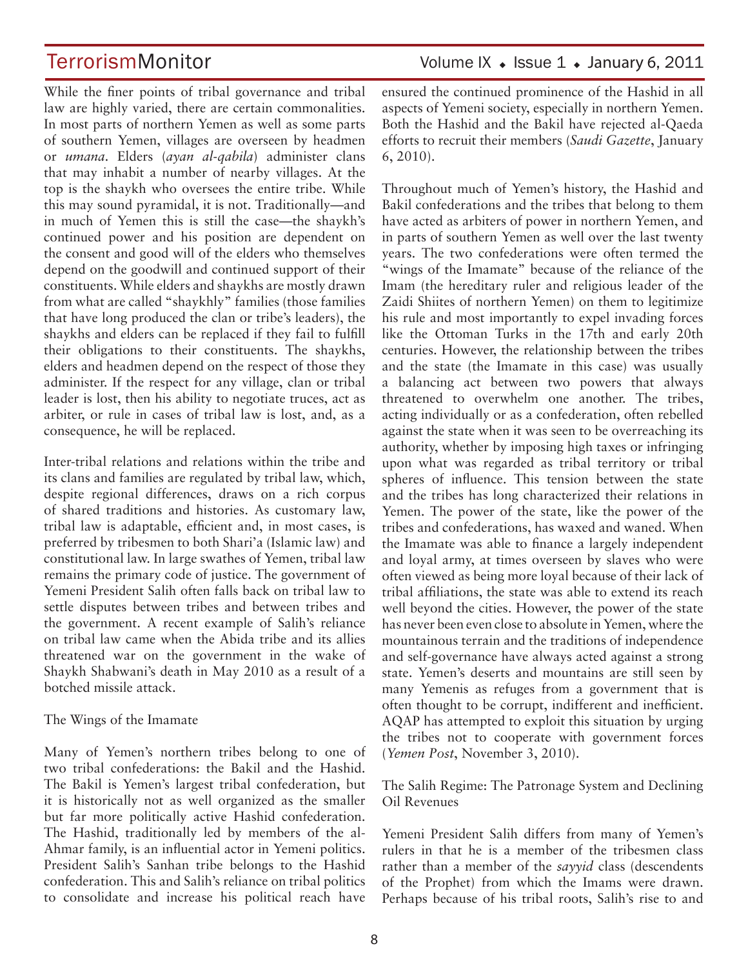While the finer points of tribal governance and tribal law are highly varied, there are certain commonalities. In most parts of northern Yemen as well as some parts of southern Yemen, villages are overseen by headmen or *umana*. Elders (*ayan al-qabila*) administer clans that may inhabit a number of nearby villages. At the top is the shaykh who oversees the entire tribe. While this may sound pyramidal, it is not. Traditionally—and in much of Yemen this is still the case—the shaykh's continued power and his position are dependent on the consent and good will of the elders who themselves depend on the goodwill and continued support of their constituents. While elders and shaykhs are mostly drawn from what are called "shaykhly" families (those families that have long produced the clan or tribe's leaders), the shaykhs and elders can be replaced if they fail to fulfill their obligations to their constituents. The shaykhs, elders and headmen depend on the respect of those they administer. If the respect for any village, clan or tribal leader is lost, then his ability to negotiate truces, act as arbiter, or rule in cases of tribal law is lost, and, as a consequence, he will be replaced.

Inter-tribal relations and relations within the tribe and its clans and families are regulated by tribal law, which, despite regional differences, draws on a rich corpus of shared traditions and histories. As customary law, tribal law is adaptable, efficient and, in most cases, is preferred by tribesmen to both Shari'a (Islamic law) and constitutional law. In large swathes of Yemen, tribal law remains the primary code of justice. The government of Yemeni President Salih often falls back on tribal law to settle disputes between tribes and between tribes and the government. A recent example of Salih's reliance on tribal law came when the Abida tribe and its allies threatened war on the government in the wake of Shaykh Shabwani's death in May 2010 as a result of a botched missile attack.

#### The Wings of the Imamate

Many of Yemen's northern tribes belong to one of two tribal confederations: the Bakil and the Hashid. The Bakil is Yemen's largest tribal confederation, but it is historically not as well organized as the smaller but far more politically active Hashid confederation. The Hashid, traditionally led by members of the al-Ahmar family, is an influential actor in Yemeni politics. President Salih's Sanhan tribe belongs to the Hashid confederation. This and Salih's reliance on tribal politics to consolidate and increase his political reach have

TerrorismMonitor Volume IX • Issue 1 • January 6, 2011

ensured the continued prominence of the Hashid in all aspects of Yemeni society, especially in northern Yemen. Both the Hashid and the Bakil have rejected al-Qaeda efforts to recruit their members (*Saudi Gazette*, January 6, 2010).

Throughout much of Yemen's history, the Hashid and Bakil confederations and the tribes that belong to them have acted as arbiters of power in northern Yemen, and in parts of southern Yemen as well over the last twenty years. The two confederations were often termed the "wings of the Imamate" because of the reliance of the Imam (the hereditary ruler and religious leader of the Zaidi Shiites of northern Yemen) on them to legitimize his rule and most importantly to expel invading forces like the Ottoman Turks in the 17th and early 20th centuries. However, the relationship between the tribes and the state (the Imamate in this case) was usually a balancing act between two powers that always threatened to overwhelm one another. The tribes, acting individually or as a confederation, often rebelled against the state when it was seen to be overreaching its authority, whether by imposing high taxes or infringing upon what was regarded as tribal territory or tribal spheres of influence. This tension between the state and the tribes has long characterized their relations in Yemen. The power of the state, like the power of the tribes and confederations, has waxed and waned. When the Imamate was able to finance a largely independent and loyal army, at times overseen by slaves who were often viewed as being more loyal because of their lack of tribal affiliations, the state was able to extend its reach well beyond the cities. However, the power of the state has never been even close to absolute in Yemen, where the mountainous terrain and the traditions of independence and self-governance have always acted against a strong state. Yemen's deserts and mountains are still seen by many Yemenis as refuges from a government that is often thought to be corrupt, indifferent and inefficient. AQAP has attempted to exploit this situation by urging the tribes not to cooperate with government forces (*Yemen Post*, November 3, 2010).

The Salih Regime: The Patronage System and Declining Oil Revenues

Yemeni President Salih differs from many of Yemen's rulers in that he is a member of the tribesmen class rather than a member of the *sayyid* class (descendents of the Prophet) from which the Imams were drawn. Perhaps because of his tribal roots, Salih's rise to and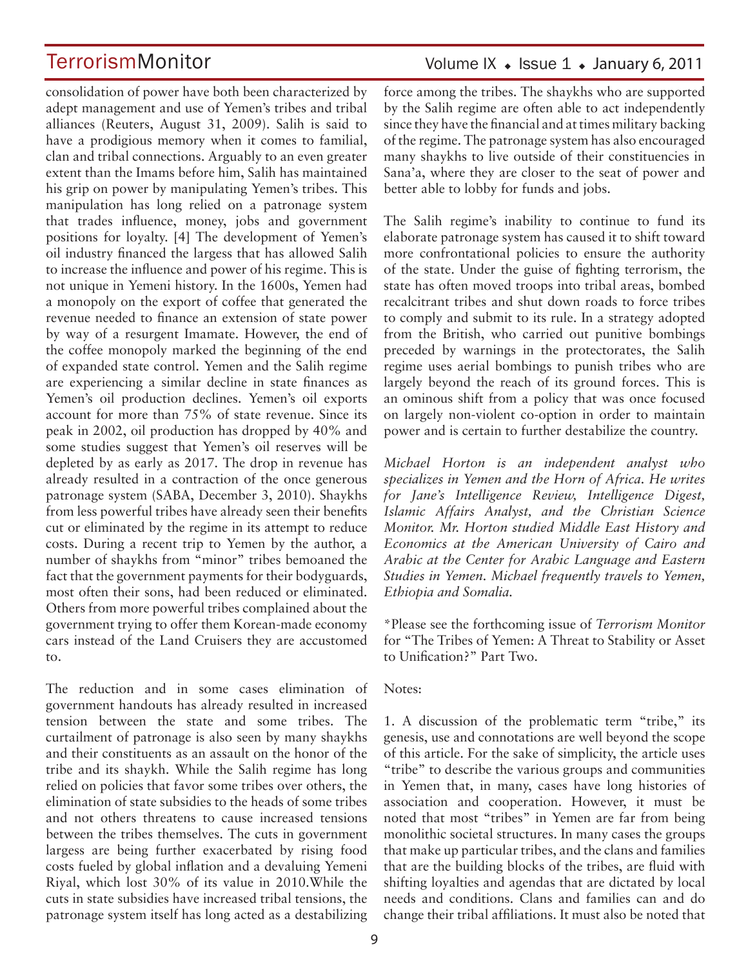consolidation of power have both been characterized by adept management and use of Yemen's tribes and tribal alliances (Reuters, August 31, 2009). Salih is said to have a prodigious memory when it comes to familial, clan and tribal connections. Arguably to an even greater extent than the Imams before him, Salih has maintained his grip on power by manipulating Yemen's tribes. This manipulation has long relied on a patronage system that trades influence, money, jobs and government positions for loyalty. [4] The development of Yemen's oil industry financed the largess that has allowed Salih to increase the influence and power of his regime. This is not unique in Yemeni history. In the 1600s, Yemen had a monopoly on the export of coffee that generated the revenue needed to finance an extension of state power by way of a resurgent Imamate. However, the end of the coffee monopoly marked the beginning of the end of expanded state control. Yemen and the Salih regime are experiencing a similar decline in state finances as Yemen's oil production declines. Yemen's oil exports account for more than 75% of state revenue. Since its peak in 2002, oil production has dropped by 40% and some studies suggest that Yemen's oil reserves will be depleted by as early as 2017. The drop in revenue has already resulted in a contraction of the once generous patronage system (SABA, December 3, 2010). Shaykhs from less powerful tribes have already seen their benefits cut or eliminated by the regime in its attempt to reduce costs. During a recent trip to Yemen by the author, a number of shaykhs from "minor" tribes bemoaned the fact that the government payments for their bodyguards, most often their sons, had been reduced or eliminated. Others from more powerful tribes complained about the government trying to offer them Korean-made economy cars instead of the Land Cruisers they are accustomed to.

The reduction and in some cases elimination of government handouts has already resulted in increased tension between the state and some tribes. The curtailment of patronage is also seen by many shaykhs and their constituents as an assault on the honor of the tribe and its shaykh. While the Salih regime has long relied on policies that favor some tribes over others, the elimination of state subsidies to the heads of some tribes and not others threatens to cause increased tensions between the tribes themselves. The cuts in government largess are being further exacerbated by rising food costs fueled by global inflation and a devaluing Yemeni Riyal, which lost 30% of its value in 2010.While the cuts in state subsidies have increased tribal tensions, the patronage system itself has long acted as a destabilizing

### Volume IX  $\bullet$  Issue 1  $\bullet$  January 6, 2011

force among the tribes. The shaykhs who are supported by the Salih regime are often able to act independently since they have the financial and at times military backing of the regime. The patronage system has also encouraged many shaykhs to live outside of their constituencies in Sana'a, where they are closer to the seat of power and better able to lobby for funds and jobs.

The Salih regime's inability to continue to fund its elaborate patronage system has caused it to shift toward more confrontational policies to ensure the authority of the state. Under the guise of fighting terrorism, the state has often moved troops into tribal areas, bombed recalcitrant tribes and shut down roads to force tribes to comply and submit to its rule. In a strategy adopted from the British, who carried out punitive bombings preceded by warnings in the protectorates, the Salih regime uses aerial bombings to punish tribes who are largely beyond the reach of its ground forces. This is an ominous shift from a policy that was once focused on largely non-violent co-option in order to maintain power and is certain to further destabilize the country.

*Michael Horton is an independent analyst who specializes in Yemen and the Horn of Africa. He writes for Jane's Intelligence Review, Intelligence Digest, Islamic Affairs Analyst, and the Christian Science Monitor. Mr. Horton studied Middle East History and Economics at the American University of Cairo and Arabic at the Center for Arabic Language and Eastern Studies in Yemen. Michael frequently travels to Yemen, Ethiopia and Somalia.*

\*Please see the forthcoming issue of *Terrorism Monitor*  for "The Tribes of Yemen: A Threat to Stability or Asset to Unification?" Part Two.

#### Notes:

1. A discussion of the problematic term "tribe," its genesis, use and connotations are well beyond the scope of this article. For the sake of simplicity, the article uses "tribe" to describe the various groups and communities in Yemen that, in many, cases have long histories of association and cooperation. However, it must be noted that most "tribes" in Yemen are far from being monolithic societal structures. In many cases the groups that make up particular tribes, and the clans and families that are the building blocks of the tribes, are fluid with shifting loyalties and agendas that are dictated by local needs and conditions. Clans and families can and do change their tribal affiliations. It must also be noted that